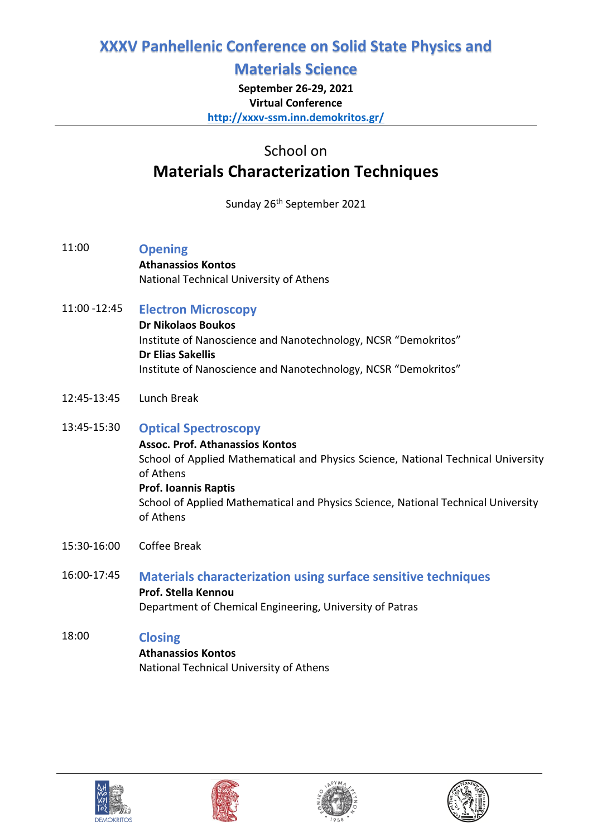## **Materials Science**

**September 26-29, 2021 Virtual Conference <http://xxxv-ssm.inn.demokritos.gr/>**

School on

# **Materials Characterization Techniques**

Sunday 26<sup>th</sup> September 2021

- 11:00 **Opening Athanassios Kontos**  National Technical University of Athens
- 11:00 -12:45 **Electron Microscopy Dr Nikolaos Boukos**  Institute of Nanoscience and Nanotechnology, NCSR "Demokritos" **Dr Elias Sakellis** Institute of Nanoscience and Nanotechnology, NCSR "Demokritos"
- 12:45-13:45 Lunch Break
- 13:45-15:30 **Optical Spectroscopy Assoc. Prof. Athanassios Kontos**  School of Applied Mathematical and Physics Science, National Technical University of Athens **Prof. Ioannis Raptis** School of Applied Mathematical and Physics Science, National Technical University of Athens
- 15:30-16:00 Coffee Break
- 16:00-17:45 **Materials characterization using surface sensitive techniques Prof. Stella Kennou**  Department of Chemical Engineering, University of Patras

## 18:00 **Closing**

**Athanassios Kontos**  National Technical University of Athens







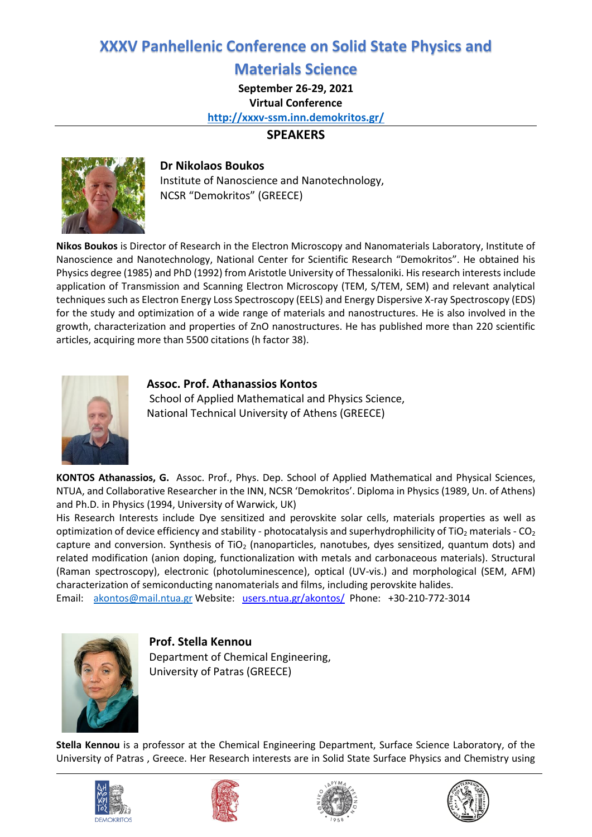### **Materials Science**

**September 26-29, 2021**

**Virtual Conference <http://xxxv-ssm.inn.demokritos.gr/>**

#### **SPEAKERS**



#### **Dr Nikolaos Boukos**

Institute of Nanoscience and Nanotechnology, NCSR "Demokritos" (GREECE)

**Nikos Boukos** is Director of Research in the Electron Microscopy and Nanomaterials Laboratory, Institute of Nanoscience and Nanotechnology, National Center for Scientific Research "Demokritos". He obtained his Physics degree (1985) and PhD (1992) from Aristotle University of Thessaloniki. His research interests include application of Transmission and Scanning Electron Microscopy (TEM, S/TEM, SEM) and relevant analytical techniques such as Electron Energy Loss Spectroscopy (EELS) and Energy Dispersive X-ray Spectroscopy (EDS) for the study and optimization of a wide range of materials and nanostructures. He is also involved in the growth, characterization and properties of ZnO nanostructures. He has published more than 220 scientific articles, acquiring more than 5500 citations (h factor 38).



#### **Assoc. Prof. Athanassios Kontos**

School of Applied Mathematical and Physics Science, National Technical University of Athens (GREECE)

**KONTOS Athanassios, G.** Assoc. Prof., Phys. Dep. School of Applied Mathematical and Physical Sciences, NTUA, and Collaborative Researcher in the INN, NCSR 'Demokritos'. Diploma in Physics (1989, Un. of Athens) and Ph.D. in Physics (1994, University of Warwick, UK)

His Research Interests include Dye sensitized and perovskite solar cells, materials properties as well as optimization of device efficiency and stability - photocatalysis and superhydrophilicity of TiO<sub>2</sub> materials - CO<sub>2</sub> capture and conversion. Synthesis of TiO<sub>2</sub> (nanoparticles, nanotubes, dyes sensitized, quantum dots) and related modification (anion doping, functionalization with metals and carbonaceous materials). Structural (Raman spectroscopy), electronic (photoluminescence), optical (UV-vis.) and morphological (SEM, AFM) characterization of semiconducting nanomaterials and films, including perovskite halides.

Email: [akontos@mail.ntua.gr](mailto:akontos@mail.ntua.gr) Website: [users.ntua.gr/akontos/](https://inn.demokritos.gr/prosopiko/a.kontos/) Phone: +30-210-772-3014



**Prof. Stella Kennou** 

Department of Chemical Engineering, University of Patras (GREECE)

**Stella Kennou** is a professor at the Chemical Engineering Department, Surface Science Laboratory, of the University of Patras , Greece. Her Research interests are in Solid State Surface Physics and Chemistry using







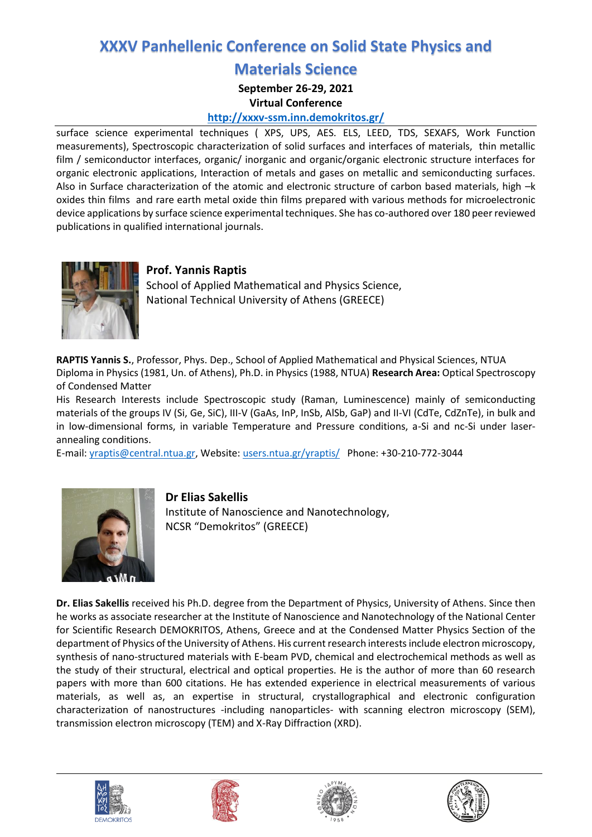## **Materials Science**

**September 26-29, 2021**

**Virtual Conference**

#### **<http://xxxv-ssm.inn.demokritos.gr/>**

surface science experimental techniques ( XPS, UPS, AES. ELS, LEED, TDS, SEXAFS, Work Function measurements), Spectroscopic characterization of solid surfaces and interfaces of materials, thin metallic film / semiconductor interfaces, organic/ inorganic and organic/organic electronic structure interfaces for organic electronic applications, Interaction of metals and gases on metallic and semiconducting surfaces. Also in Surface characterization of the atomic and electronic structure of carbon based materials, high –k oxides thin films and rare earth metal oxide thin films prepared with various methods for microelectronic device applications by surface science experimental techniques. She has co-authored over 180 peer reviewed publications in qualified international journals.



### **Prof. Yannis Raptis**

School of Applied Mathematical and Physics Science, National Technical University of Athens (GREECE)

**RAPTIS Yannis S.**, Professor, Phys. Dep., School of Applied Mathematical and Physical Sciences, NTUA Diploma in Physics (1981, Un. of Athens), Ph.D. in Physics (1988, NTUA) **Research Area:** Optical Spectroscopy of Condensed Matter

His Research Interests include Spectroscopic study (Raman, Luminescence) mainly of semiconducting materials of the groups IV (Si, Ge, SiC), III-V (GaAs, InP, InSb, AlSb, GaP) and II-VI (CdTe, CdZnTe), in bulk and in low-dimensional forms, in variable Temperature and Pressure conditions, a-Si and nc-Si under laserannealing conditions.

E-mail: [yraptis@central.ntua.gr,](mailto:yraptis@central.ntua.gr) Website: users.ntua.gr/yraptis/ Phone: +30-210-772-3044



#### **Dr Elias Sakellis**

Institute of Nanoscience and Nanotechnology, NCSR "Demokritos" (GREECE)

**Dr. Elias Sakellis** received his Ph.D. degree from the Department of Physics, University of Athens. Since then he works as associate researcher at the Institute of Nanoscience and Nanotechnology of the National Center for Scientific Research DEMOKRITOS, Athens, Greece and at the Condensed Matter Physics Section of the department of Physics of the University of Athens. His current research interests include electron microscopy, synthesis of nano-structured materials with E-beam PVD, chemical and electrochemical methods as well as the study of their structural, electrical and optical properties. He is the author of more than 60 research papers with more than 600 citations. He has extended experience in electrical measurements of various materials, as well as, an expertise in structural, crystallographical and electronic configuration characterization of nanostructures -including nanoparticles- with scanning electron microscopy (SEM), transmission electron microscopy (TEM) and X-Ray Diffraction (XRD).